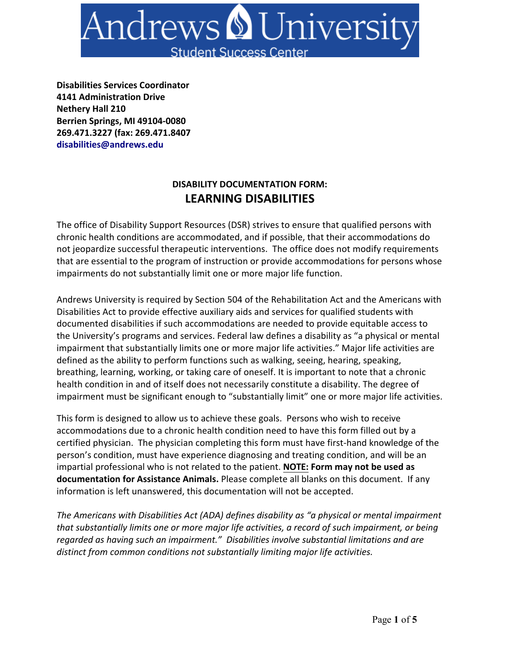

**Disabilities Services Coordinator 4141 Administration Drive Nethery Hall 210 Berrien Springs, MI 49104-0080 269.471.3227 (fax: 269.471.8407 disabilities@andrews.edu**

### **DISABILITY DOCUMENTATION FORM: LEARNING DISABILITIES**

The office of Disability Support Resources (DSR) strives to ensure that qualified persons with chronic health conditions are accommodated, and if possible, that their accommodations do not jeopardize successful therapeutic interventions. The office does not modify requirements that are essential to the program of instruction or provide accommodations for persons whose impairments do not substantially limit one or more major life function.

Andrews University is required by Section 504 of the Rehabilitation Act and the Americans with Disabilities Act to provide effective auxiliary aids and services for qualified students with documented disabilities if such accommodations are needed to provide equitable access to the University's programs and services. Federal law defines a disability as "a physical or mental impairment that substantially limits one or more major life activities." Major life activities are defined as the ability to perform functions such as walking, seeing, hearing, speaking, breathing, learning, working, or taking care of oneself. It is important to note that a chronic health condition in and of itself does not necessarily constitute a disability. The degree of impairment must be significant enough to "substantially limit" one or more major life activities.

This form is designed to allow us to achieve these goals. Persons who wish to receive accommodations due to a chronic health condition need to have this form filled out by a certified physician. The physician completing this form must have first-hand knowledge of the person's condition, must have experience diagnosing and treating condition, and will be an impartial professional who is not related to the patient. **NOTE: Form may not be used as documentation for Assistance Animals.** Please complete all blanks on this document. If any information is left unanswered, this documentation will not be accepted.

*The Americans with Disabilities Act (ADA) defines disability as "a physical or mental impairment that substantially limits one or more major life activities, a record of such impairment, or being regarded as having such an impairment." Disabilities involve substantial limitations and are distinct from common conditions not substantially limiting major life activities.*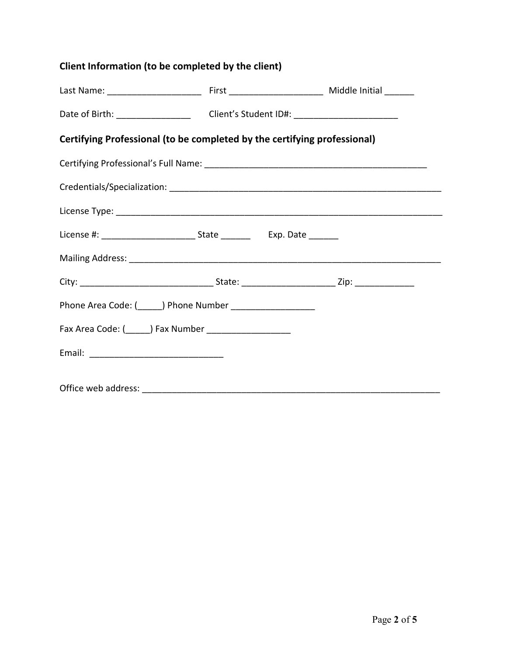# **Client Information (to be completed by the client)**

| Date of Birth: ___________________________Client's Student ID#: _________________ |  |  |  |  |  |
|-----------------------------------------------------------------------------------|--|--|--|--|--|
| Certifying Professional (to be completed by the certifying professional)          |  |  |  |  |  |
|                                                                                   |  |  |  |  |  |
|                                                                                   |  |  |  |  |  |
|                                                                                   |  |  |  |  |  |
|                                                                                   |  |  |  |  |  |
|                                                                                   |  |  |  |  |  |
|                                                                                   |  |  |  |  |  |
| Phone Area Code: (______) Phone Number _____________________                      |  |  |  |  |  |
|                                                                                   |  |  |  |  |  |
|                                                                                   |  |  |  |  |  |
| Office web address: ______________                                                |  |  |  |  |  |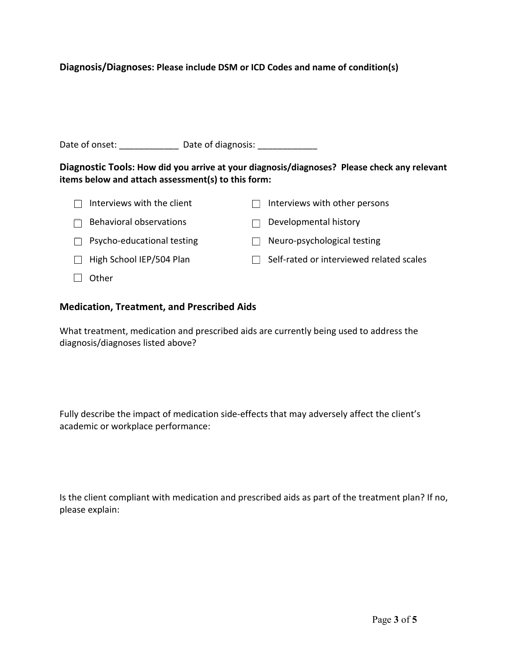### **Diagnosis/Diagnoses: Please include DSM or ICD Codes and name of condition(s)**

Date of onset: \_\_\_\_\_\_\_\_\_\_\_\_\_\_\_\_ Date of diagnosis: \_\_\_\_\_\_\_\_\_\_\_\_\_\_\_\_\_\_\_\_\_\_\_\_\_\_\_\_\_\_

**Diagnostic Tools: How did you arrive at your diagnosis/diagnoses? Please check any relevant items below and attach assessment(s) to this form:** 

| Interviews with the client | Interviews with other persons            |
|----------------------------|------------------------------------------|
| Behavioral observations    | Developmental history                    |
| Psycho-educational testing | Neuro-psychological testing              |
| High School IEP/504 Plan   | Self-rated or interviewed related scales |
| Other                      |                                          |

#### **Medication, Treatment, and Prescribed Aids**

What treatment, medication and prescribed aids are currently being used to address the diagnosis/diagnoses listed above?

Fully describe the impact of medication side-effects that may adversely affect the client's academic or workplace performance:

Is the client compliant with medication and prescribed aids as part of the treatment plan? If no, please explain: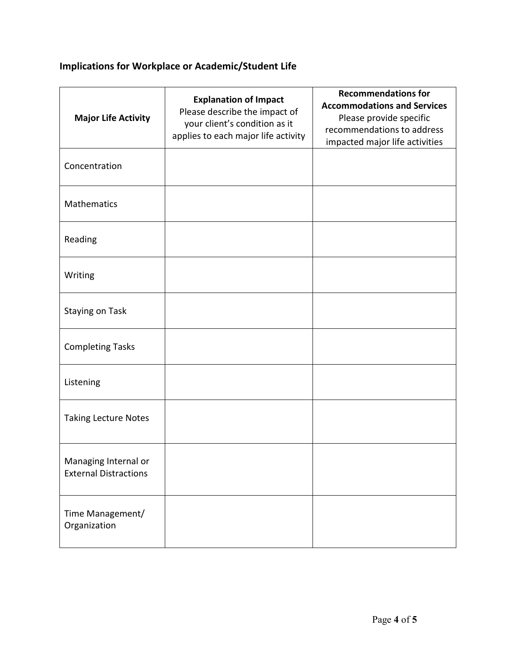# **Implications for Workplace or Academic/Student Life**

| <b>Major Life Activity</b>                           | <b>Explanation of Impact</b><br>Please describe the impact of<br>your client's condition as it<br>applies to each major life activity | <b>Recommendations for</b><br><b>Accommodations and Services</b><br>Please provide specific<br>recommendations to address<br>impacted major life activities |
|------------------------------------------------------|---------------------------------------------------------------------------------------------------------------------------------------|-------------------------------------------------------------------------------------------------------------------------------------------------------------|
| Concentration                                        |                                                                                                                                       |                                                                                                                                                             |
| <b>Mathematics</b>                                   |                                                                                                                                       |                                                                                                                                                             |
| Reading                                              |                                                                                                                                       |                                                                                                                                                             |
| Writing                                              |                                                                                                                                       |                                                                                                                                                             |
| <b>Staying on Task</b>                               |                                                                                                                                       |                                                                                                                                                             |
| <b>Completing Tasks</b>                              |                                                                                                                                       |                                                                                                                                                             |
| Listening                                            |                                                                                                                                       |                                                                                                                                                             |
| <b>Taking Lecture Notes</b>                          |                                                                                                                                       |                                                                                                                                                             |
| Managing Internal or<br><b>External Distractions</b> |                                                                                                                                       |                                                                                                                                                             |
| Time Management/<br>Organization                     |                                                                                                                                       |                                                                                                                                                             |